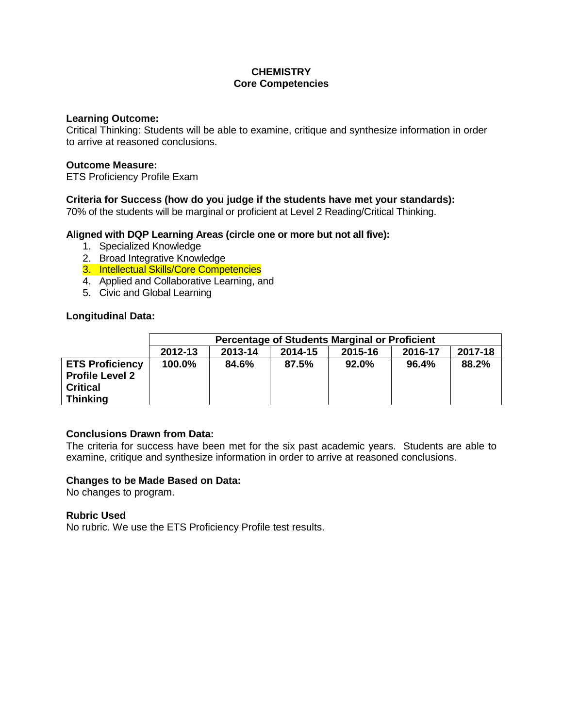# **CHEMISTRY Core Competencies**

### **Learning Outcome:**

Critical Thinking: Students will be able to examine, critique and synthesize information in order to arrive at reasoned conclusions.

### **Outcome Measure:**

ETS Proficiency Profile Exam

## **Criteria for Success (how do you judge if the students have met your standards):**

70% of the students will be marginal or proficient at Level 2 Reading/Critical Thinking.

## **Aligned with DQP Learning Areas (circle one or more but not all five):**

- 1. Specialized Knowledge
- 2. Broad Integrative Knowledge
- 3. Intellectual Skills/Core Competencies
- 4. Applied and Collaborative Learning, and
- 5. Civic and Global Learning

## **Longitudinal Data:**

|                                                                                        | Percentage of Students Marginal or Proficient                  |       |       |       |       |       |
|----------------------------------------------------------------------------------------|----------------------------------------------------------------|-------|-------|-------|-------|-------|
|                                                                                        | 2017-18<br>2016-17<br>2012-13<br>2013-14<br>2014-15<br>2015-16 |       |       |       |       |       |
| <b>ETS Proficiency</b><br><b>Profile Level 2</b><br><b>Critical</b><br><b>Thinking</b> | 100.0%                                                         | 84.6% | 87.5% | 92.0% | 96.4% | 88.2% |

## **Conclusions Drawn from Data:**

The criteria for success have been met for the six past academic years. Students are able to examine, critique and synthesize information in order to arrive at reasoned conclusions.

#### **Changes to be Made Based on Data:**

No changes to program.

## **Rubric Used**

No rubric. We use the ETS Proficiency Profile test results.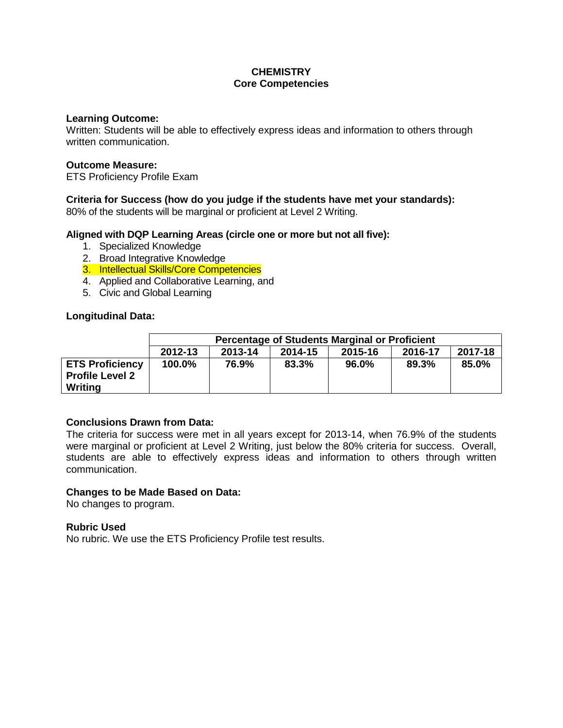# **CHEMISTRY Core Competencies**

### **Learning Outcome:**

Written: Students will be able to effectively express ideas and information to others through written communication.

## **Outcome Measure:**

ETS Proficiency Profile Exam

# **Criteria for Success (how do you judge if the students have met your standards):**

80% of the students will be marginal or proficient at Level 2 Writing.

## **Aligned with DQP Learning Areas (circle one or more but not all five):**

- 1. Specialized Knowledge
- 2. Broad Integrative Knowledge
- 3. Intellectual Skills/Core Competencies
- 4. Applied and Collaborative Learning, and
- 5. Civic and Global Learning

## **Longitudinal Data:**

|                                                             | <b>Percentage of Students Marginal or Proficient</b>           |       |       |       |       |       |
|-------------------------------------------------------------|----------------------------------------------------------------|-------|-------|-------|-------|-------|
|                                                             | 2017-18<br>2012-13<br>2016-17<br>2013-14<br>2015-16<br>2014-15 |       |       |       |       |       |
| <b>ETS Proficiency</b><br><b>Profile Level 2</b><br>Writing | 100.0%                                                         | 76.9% | 83.3% | 96.0% | 89.3% | 85.0% |

# **Conclusions Drawn from Data:**

The criteria for success were met in all years except for 2013-14, when 76.9% of the students were marginal or proficient at Level 2 Writing, just below the 80% criteria for success. Overall, students are able to effectively express ideas and information to others through written communication.

## **Changes to be Made Based on Data:**

No changes to program.

## **Rubric Used**

No rubric. We use the ETS Proficiency Profile test results.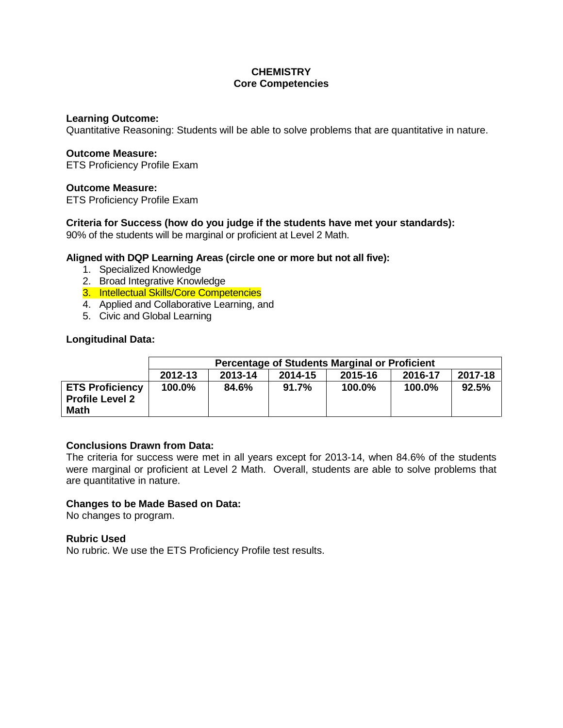# **CHEMISTRY Core Competencies**

### **Learning Outcome:**

Quantitative Reasoning: Students will be able to solve problems that are quantitative in nature.

### **Outcome Measure:**

ETS Proficiency Profile Exam

## **Outcome Measure:**

ETS Proficiency Profile Exam

## **Criteria for Success (how do you judge if the students have met your standards):**

90% of the students will be marginal or proficient at Level 2 Math.

## **Aligned with DQP Learning Areas (circle one or more but not all five):**

- 1. Specialized Knowledge
- 2. Broad Integrative Knowledge
- 3. Intellectual Skills/Core Competencies
- 4. Applied and Collaborative Learning, and
- 5. Civic and Global Learning

## **Longitudinal Data:**

|                                                                 | <b>Percentage of Students Marginal or Proficient</b> |         |         |         |         |         |
|-----------------------------------------------------------------|------------------------------------------------------|---------|---------|---------|---------|---------|
|                                                                 | 2012-13                                              | 2013-14 | 2014-15 | 2015-16 | 2016-17 | 2017-18 |
| <b>ETS Proficiency</b><br><b>Profile Level 2</b><br><b>Math</b> | 100.0%                                               | 84.6%   | 91.7%   | 100.0%  | 100.0%  | 92.5%   |

## **Conclusions Drawn from Data:**

The criteria for success were met in all years except for 2013-14, when 84.6% of the students were marginal or proficient at Level 2 Math. Overall, students are able to solve problems that are quantitative in nature.

## **Changes to be Made Based on Data:**

No changes to program.

## **Rubric Used**

No rubric. We use the ETS Proficiency Profile test results.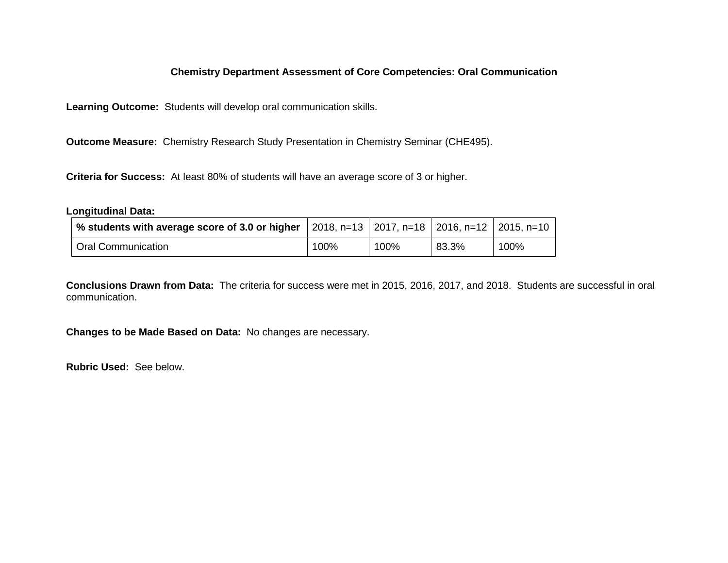# **Chemistry Department Assessment of Core Competencies: Oral Communication**

**Learning Outcome:** Students will develop oral communication skills.

**Outcome Measure:** Chemistry Research Study Presentation in Chemistry Seminar (CHE495).

**Criteria for Success:** At least 80% of students will have an average score of 3 or higher.

### **Longitudinal Data:**

| % students with average score of 3.0 or higher   2018, n=13   2017, n=18   2016, n=12   2015, n=10 |      |      |       |      |
|----------------------------------------------------------------------------------------------------|------|------|-------|------|
| Oral Communication                                                                                 | 100% | 100% | 83.3% | 100% |

**Conclusions Drawn from Data:** The criteria for success were met in 2015, 2016, 2017, and 2018. Students are successful in oral communication.

**Changes to be Made Based on Data:** No changes are necessary.

**Rubric Used:** See below.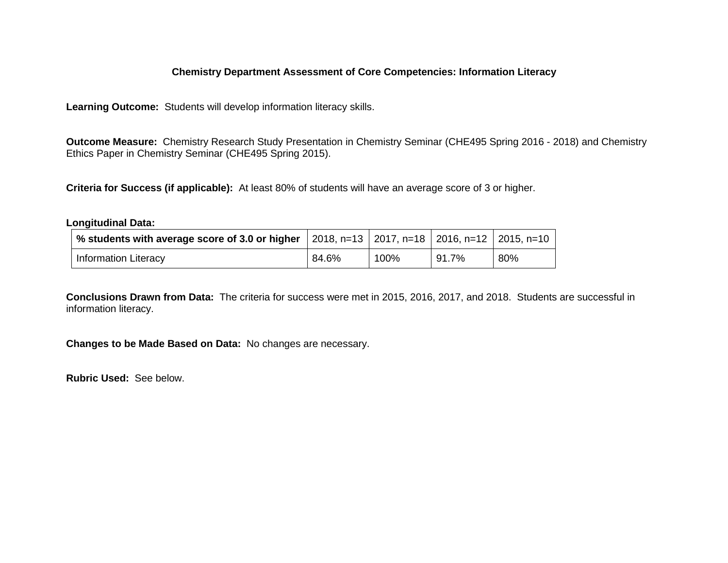# **Chemistry Department Assessment of Core Competencies: Information Literacy**

**Learning Outcome:** Students will develop information literacy skills.

**Outcome Measure:** Chemistry Research Study Presentation in Chemistry Seminar (CHE495 Spring 2016 - 2018) and Chemistry Ethics Paper in Chemistry Seminar (CHE495 Spring 2015).

**Criteria for Success (if applicable):** At least 80% of students will have an average score of 3 or higher.

#### **Longitudinal Data:**

| $^{\prime}$ % students with average score of 3.0 or higher $\,$   2018, n=13 $\,$   2017, n=18 $\,$   2016, n=12 $\,$   2015, n=10 $\,$ |       |      |       |     |
|-----------------------------------------------------------------------------------------------------------------------------------------|-------|------|-------|-----|
| <b>Information Literacy</b>                                                                                                             | 84.6% | 100% | 91.7% | 80% |

**Conclusions Drawn from Data:** The criteria for success were met in 2015, 2016, 2017, and 2018. Students are successful in information literacy.

**Changes to be Made Based on Data:** No changes are necessary.

**Rubric Used:** See below.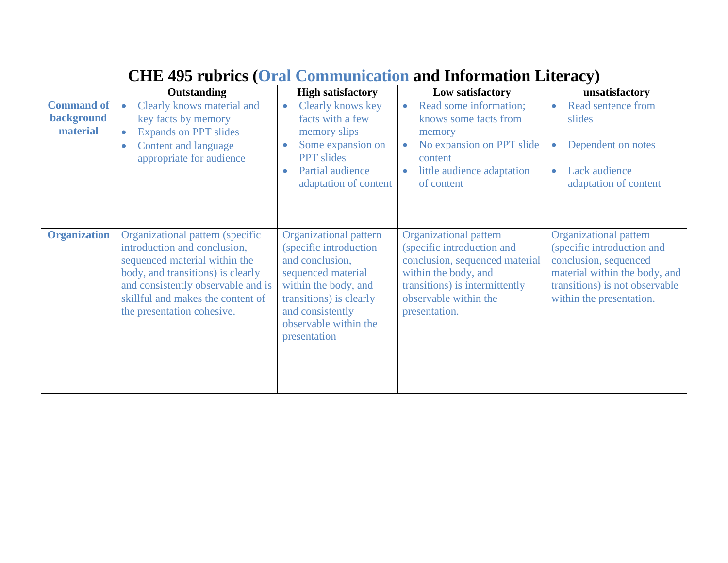|                                             | <b>Outstanding</b>                                                                                                                                                                                                                              | <b>High satisfactory</b>                                                                                                                                                                                         | Low satisfactory                                                                                                                                                                                  | unsatisfactory                                                                                                                                                               |
|---------------------------------------------|-------------------------------------------------------------------------------------------------------------------------------------------------------------------------------------------------------------------------------------------------|------------------------------------------------------------------------------------------------------------------------------------------------------------------------------------------------------------------|---------------------------------------------------------------------------------------------------------------------------------------------------------------------------------------------------|------------------------------------------------------------------------------------------------------------------------------------------------------------------------------|
| <b>Command of</b><br>background<br>material | Clearly knows material and<br>$\bullet$<br>key facts by memory<br><b>Expands on PPT slides</b><br>$\bullet$<br>Content and language<br>$\bullet$<br>appropriate for audience                                                                    | Clearly knows key<br>$\bullet$<br>facts with a few<br>memory slips<br>Some expansion on<br>$\bullet$<br><b>PPT</b> slides<br>Partial audience<br>$\bullet$<br>adaptation of content                              | Read some information;<br>$\bullet$<br>knows some facts from<br>memory<br>No expansion on PPT slide<br>$\bullet$<br>content<br>little audience adaptation<br>of content                           | Read sentence from<br>slides<br>Dependent on notes<br>Lack audience<br>$\bullet$<br>adaptation of content                                                                    |
| <b>Organization</b>                         | Organizational pattern (specific<br>introduction and conclusion,<br>sequenced material within the<br>body, and transitions) is clearly<br>and consistently observable and is<br>skillful and makes the content of<br>the presentation cohesive. | <b>Organizational pattern</b><br>(specific introduction<br>and conclusion,<br>sequenced material<br>within the body, and<br>transitions) is clearly<br>and consistently<br>observable within the<br>presentation | <b>Organizational pattern</b><br>(specific introduction and<br>conclusion, sequenced material<br>within the body, and<br>transitions) is intermittently<br>observable within the<br>presentation. | Organizational pattern<br>(specific introduction and<br>conclusion, sequenced<br>material within the body, and<br>transitions) is not observable<br>within the presentation. |

# **CHE 495 rubrics (Oral Communication and Information Literacy)**